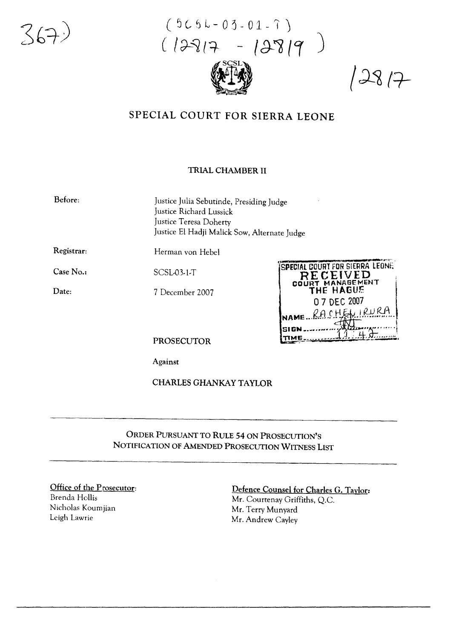

 $(5C5k-03-01-7)$  $(12817 - 12819)$ 



 $12817$ 

## SPECIAL COURT FOR SIERRA LEONE

## **TRIAL CHAMBER II**

Before:

Justice Julia Sebutinde, Presiding Judge Justice Richard Lussick Justice Teresa Doherty Justice El Hadji Malick Sow, Alternate Judge

Registrar:

Herman von Hebel

Case No.:

Date:

**SCSL03-1-T** 

7 December 2007



**PROSECUTOR** 

Against

**CHARLES GHANKAY TAYLOR** 

ORDER PURSUANT TO RULE 54 ON PROSECUTION'S NOTIFICATION OF AMENDED PROSECUTION WITNESS LIST

Office of the Prosecutor: Brenda Hollis Nicholas Koumjian Leigh Lawrie

## Defence Counsel for Charles G. Taylor:

Mr. Courtenay Griffiths, O.C. Mr. Terry Munyard Mr. Andrew Cayley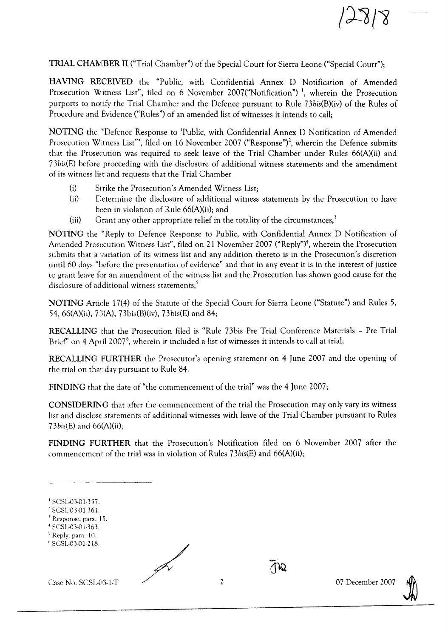TRIAL CHAMBER II ("Trial Chamber") of the Special Court for Sierra Leone ("Special Court");

HAVlNG RECEIVED the "Public, with Confidential Annex D Notification of Amended Prosecution Witness List", filed on 6 November 2007("Notification")<sup>1</sup>, wherein the Prosecution purports to notify the Trial Chamber and the Defence pursuant to Rule 73bis(B)(iv) of the Rules of Procedure and Evidence ("Rules") of an amended list of witnesses it intends to call;

NOTING the "Defence Response to 'Public, with Confidential Annex 0 Notification of Amended Prosecution Witness List"', filed on 16 November 2007 ("Response")<sup>2</sup>, wherein the Defence submits that the Prosecution was required to seek leave of the Trial Chamber under Rules 66(A)(ii) and 73bis(E) before proceeding with the disclosure of additional witness statements and the amendment of its witness list and requests that the Trial Chamber

- (i) Strike the Prosecution's Amended Witness List;
- (ii) Determine the disclosure of additional witness statements by the Prosecution to have been in violation of Rule 66(A)(ii); and
- (iii) Grant any other appropriate relief in the totality of the circumstances;<sup>3</sup>

NOTING the "Reply to Defence Response to Public, with Confidential Annex D Notification of Amended Prosecution Witness List", filed on 21 November 2007 ("Reply")<sup>4</sup>, wherein the Prosecution submits that a variation of its witness list and any addition thereto is in the Prosecution's discretion until 60 days "before the presentation of evidence" and that in any event it is in the interest of justice to grant leave for an amendment of the witness list and the Prosecution has shown good cause for the disclosure of additional witness statements;<sup>5</sup>

NOTING Article 17(4) of the Statute of the Special Court for Sierra Leone ("Statute") and Rules 5, 54, 66(A)(ii), 7J(A), 73bis(B)(iv), 73bis(E) and 84;

RECALLING that the Prosecution filed is "Rule 73bis Pre Trial Conference Materials - Pre Trial Brief" on 4 April 2007<sup>6</sup>, wherein it included a list of witnesses it intends to call at trial;

RECALLING FURTHER the Prosecutor's opening statement on 4 June 2007 and the opening of the trial on that day pursuant to Rule 84.

FINDING that the date of "the commencement of the trial" was the 4 June 2007;

CONSIDERING that after the commencement of the trial the Prosecution may only vary its witness list and disclose statements of additional witnesses with leave of the Trial Chamber pursuant to Rules  $73 \text{bis}$ (E) and  $66(A)(ii)$ ;

FINDING FURTHER that the Prosecution's Notification filed on 6 November 2007 after the commencement of the trial was in violation of Rules  $73\text{bis}$ (E) and  $66(A)(ii)$ ;

 $\frac{1}{\sqrt{12}}$ <br>Case No. SCSL-03-1-T 2 07 December 2007

 $28/8$ 



<sup>&</sup>lt;sup>1</sup> SCSL-03-01-357.

<sup>,</sup> SCSL-D3-D1-361.

<sup>&</sup>lt;sup>3</sup> Response, para. 15.

<sup>4</sup> SCSL-D3-D 1.363.

<sup>&</sup>lt;sup>5</sup> Reply, para. 10. <sup>o</sup> SCSL-D3-D1-218.